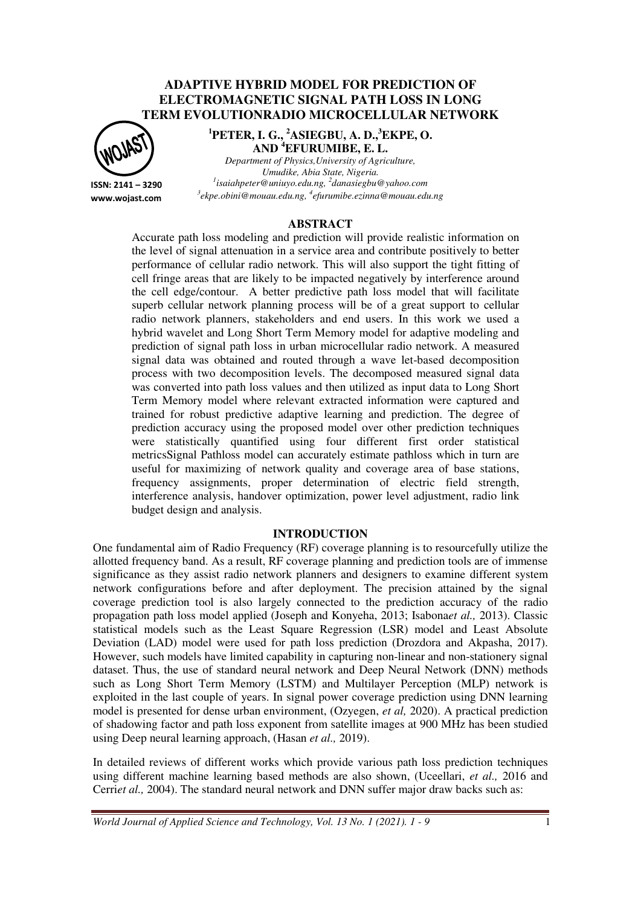## **ADAPTIVE HYBRID MODEL FOR PREDICTION OF ELECTROMAGNETIC SIGNAL PATH LOSS IN LONG TERM EVOLUTIONRADIO MICROCELLULAR NETWORK**



**ISSN: 2141 – 3290 www.wojast.com** **<sup>1</sup>PETER, I. G., <sup>2</sup>ASIEGBU, A. D.,<sup>3</sup>EKPE, O. AND <sup>4</sup>EFURUMIBE, E. L.** 

*Department of Physics,University of Agriculture, Umudike, Abia State, Nigeria. 1 isaiahpeter@uniuyo.edu.ng, <sup>2</sup> danasiegbu@yahoo.com 3 ekpe.obini@mouau.edu.ng, <sup>4</sup> efurumibe.ezinna@mouau.edu.ng* 

## **ABSTRACT**

Accurate path loss modeling and prediction will provide realistic information on the level of signal attenuation in a service area and contribute positively to better performance of cellular radio network. This will also support the tight fitting of cell fringe areas that are likely to be impacted negatively by interference around the cell edge/contour. A better predictive path loss model that will facilitate superb cellular network planning process will be of a great support to cellular radio network planners, stakeholders and end users. In this work we used a hybrid wavelet and Long Short Term Memory model for adaptive modeling and prediction of signal path loss in urban microcellular radio network. A measured signal data was obtained and routed through a wave let-based decomposition process with two decomposition levels. The decomposed measured signal data was converted into path loss values and then utilized as input data to Long Short Term Memory model where relevant extracted information were captured and trained for robust predictive adaptive learning and prediction. The degree of prediction accuracy using the proposed model over other prediction techniques were statistically quantified using four different first order statistical metricsSignal Pathloss model can accurately estimate pathloss which in turn are useful for maximizing of network quality and coverage area of base stations, frequency assignments, proper determination of electric field strength, interference analysis, handover optimization, power level adjustment, radio link budget design and analysis.

#### **INTRODUCTION**

One fundamental aim of Radio Frequency (RF) coverage planning is to resourcefully utilize the allotted frequency band. As a result, RF coverage planning and prediction tools are of immense significance as they assist radio network planners and designers to examine different system network configurations before and after deployment. The precision attained by the signal coverage prediction tool is also largely connected to the prediction accuracy of the radio propagation path loss model applied (Joseph and Konyeha, 2013; Isabona*et al.,* 2013). Classic statistical models such as the Least Square Regression (LSR) model and Least Absolute Deviation (LAD) model were used for path loss prediction (Drozdora and Akpasha, 2017). However, such models have limited capability in capturing non-linear and non-stationery signal dataset. Thus, the use of standard neural network and Deep Neural Network (DNN) methods such as Long Short Term Memory (LSTM) and Multilayer Perception (MLP) network is exploited in the last couple of years. In signal power coverage prediction using DNN learning model is presented for dense urban environment, (Ozyegen, *et al,* 2020). A practical prediction of shadowing factor and path loss exponent from satellite images at 900 MHz has been studied using Deep neural learning approach, (Hasan *et al.,* 2019).

In detailed reviews of different works which provide various path loss prediction techniques using different machine learning based methods are also shown, (Uceellari, *et al.,* 2016 and Cerri*et al.,* 2004). The standard neural network and DNN suffer major draw backs such as:

*World Journal of Applied Science and Technology, Vol. 13 No. 1 (2021). 1 - 9* 1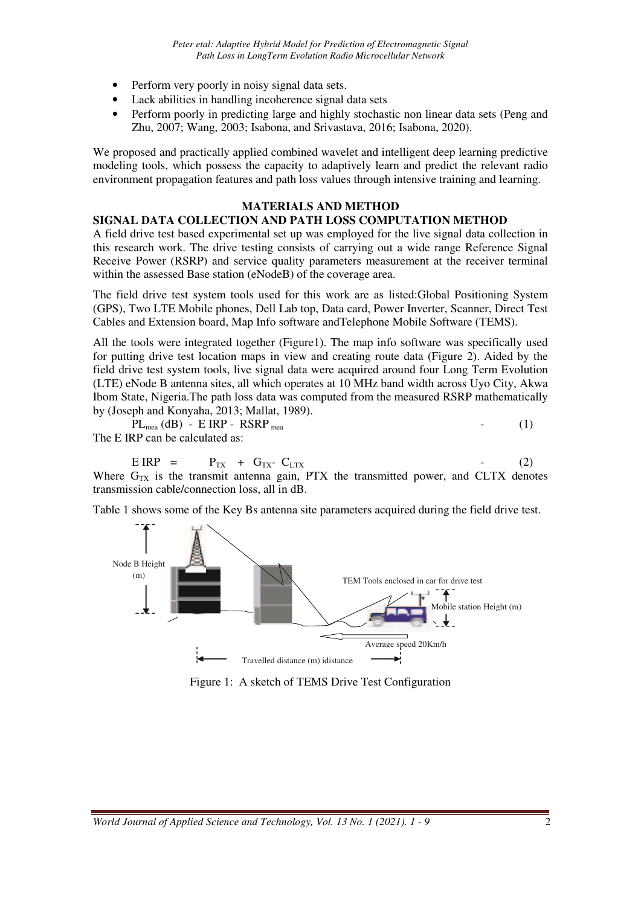- Perform very poorly in noisy signal data sets.
- Lack abilities in handling incoherence signal data sets
- Perform poorly in predicting large and highly stochastic non linear data sets (Peng and Zhu, 2007; Wang, 2003; Isabona, and Srivastava, 2016; Isabona, 2020).

We proposed and practically applied combined wavelet and intelligent deep learning predictive modeling tools, which possess the capacity to adaptively learn and predict the relevant radio environment propagation features and path loss values through intensive training and learning.

## **MATERIALS AND METHOD**

## **SIGNAL DATA COLLECTION AND PATH LOSS COMPUTATION METHOD**

A field drive test based experimental set up was employed for the live signal data collection in this research work. The drive testing consists of carrying out a wide range Reference Signal Receive Power (RSRP) and service quality parameters measurement at the receiver terminal within the assessed Base station (eNodeB) of the coverage area.

The field drive test system tools used for this work are as listed:Global Positioning System (GPS), Two LTE Mobile phones, Dell Lab top, Data card, Power Inverter, Scanner, Direct Test Cables and Extension board, Map Info software andTelephone Mobile Software (TEMS).

All the tools were integrated together (Figure1). The map info software was specifically used for putting drive test location maps in view and creating route data (Figure 2). Aided by the field drive test system tools, live signal data were acquired around four Long Term Evolution (LTE) eNode B antenna sites, all which operates at 10 MHz band width across Uyo City, Akwa Ibom State, Nigeria.The path loss data was computed from the measured RSRP mathematically by (Joseph and Konyaha, 2013; Mallat, 1989).

 $PL_{mea}$  (dB) - E IRP - RSRP  $_{mea}$  - (1) The E IRP can be calculated as:

 $E \, \text{IRP}$  =  $P_{TX}$  +  $G_{TX}$ -  $C_{LTX}$  - (2) Where  $G_{TX}$  is the transmit antenna gain, PTX the transmitted power, and CLTX denotes transmission cable/connection loss, all in dB.

Table 1 shows some of the Key Bs antenna site parameters acquired during the field drive test.



Figure 1: A sketch of TEMS Drive Test Configuration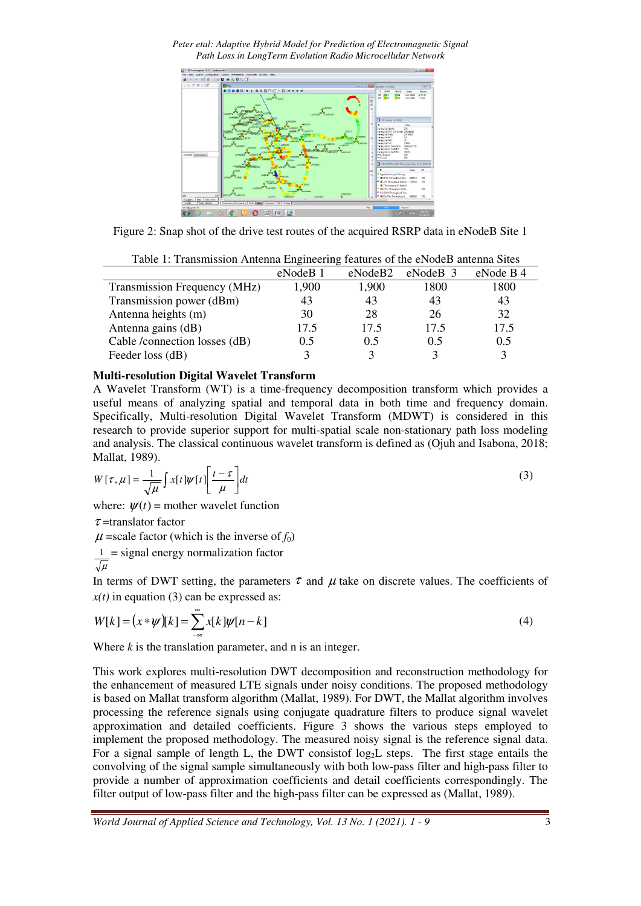*Peter etal: Adaptive Hybrid Model for Prediction of Electromagnetic Signal Path Loss in LongTerm Evolution Radio Microcellular Network* 



Figure 2: Snap shot of the drive test routes of the acquired RSRP data in eNodeB Site 1

| Tuble 1. Transmission / milling Engineering reatares of the eroded antenna bites |          |         |          |           |  |
|----------------------------------------------------------------------------------|----------|---------|----------|-----------|--|
|                                                                                  | eNodeB 1 | eNodeB2 | eNodeB 3 | eNode B 4 |  |
| Transmission Frequency (MHz)                                                     | 1,900    | 1,900   | 1800     | 1800      |  |
| Transmission power (dBm)                                                         | 43       | 43      | 43       | 43        |  |
| Antenna heights (m)                                                              | 30       | 28      | 26       | 32        |  |
| Antenna gains (dB)                                                               | 17.5     | 17.5    | 17.5     | 17.5      |  |
| Cable / connection losses (dB)                                                   | 0.5      | 0.5     | 0.5      | 0.5       |  |
| Feeder loss (dB)                                                                 |          |         |          |           |  |

Table 1: Transmission Antenna Engineering features of the eNodeB antenna Sites

## **Multi-resolution Digital Wavelet Transform**

A Wavelet Transform (WT) is a time-frequency decomposition transform which provides a useful means of analyzing spatial and temporal data in both time and frequency domain. Specifically, Multi-resolution Digital Wavelet Transform (MDWT) is considered in this research to provide superior support for multi-spatial scale non-stationary path loss modeling and analysis. The classical continuous wavelet transform is defined as (Ojuh and Isabona, 2018; Mallat, 1989).

$$
W[\tau, \mu] = \frac{1}{\sqrt{\mu}} \int x[t] \psi[t] \left[ \frac{t - \tau}{\mu} \right] dt \tag{3}
$$

where:  $\psi(t)$  = mother wavelet function

 $\tau$ =translator factor

 $\mu$  =scale factor (which is the inverse of  $f_0$ )

$$
\frac{1}{\sqrt{\mu}}
$$
 = signal energy normalization factor

In terms of DWT setting, the parameters  $\tau$  and  $\mu$  take on discrete values. The coefficients of  $x(t)$  in equation (3) can be expressed as:

$$
W[k] = (x * \psi)[k] = \sum_{-\infty}^{\infty} x[k]\psi[n-k]
$$
\n(4)

Where *k* is the translation parameter, and n is an integer.

This work explores multi-resolution DWT decomposition and reconstruction methodology for the enhancement of measured LTE signals under noisy conditions. The proposed methodology is based on Mallat transform algorithm (Mallat, 1989). For DWT, the Mallat algorithm involves processing the reference signals using conjugate quadrature filters to produce signal wavelet approximation and detailed coefficients. Figure 3 shows the various steps employed to implement the proposed methodology. The measured noisy signal is the reference signal data. For a signal sample of length L, the DWT consistof  $log<sub>2</sub>L$  steps. The first stage entails the convolving of the signal sample simultaneously with both low-pass filter and high-pass filter to provide a number of approximation coefficients and detail coefficients correspondingly. The filter output of low-pass filter and the high-pass filter can be expressed as (Mallat, 1989).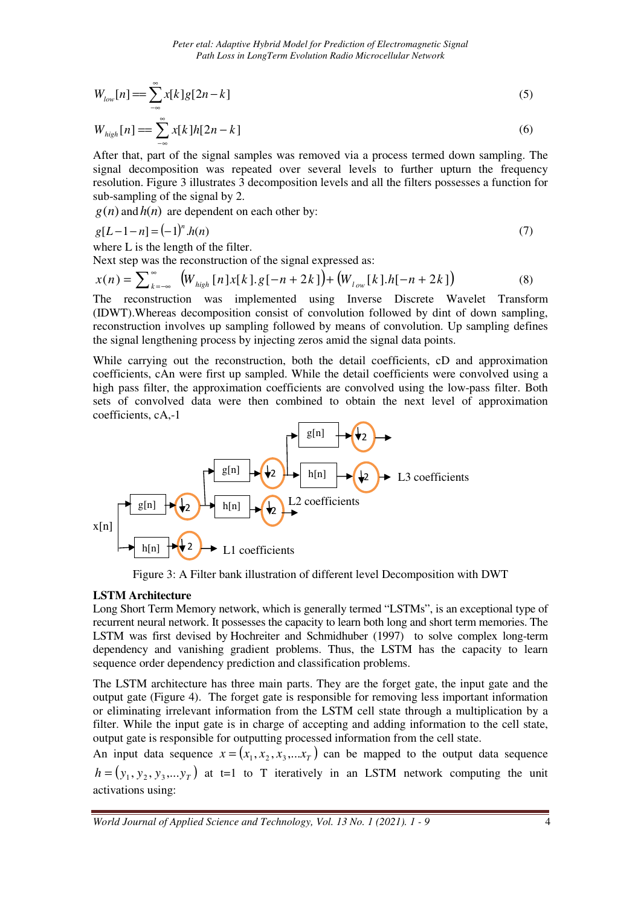$$
W_{low}[n] = \sum_{-\infty}^{\infty} x[k]g[2n-k]
$$
\n<sup>(5)</sup>

$$
W_{high}[n] = \sum_{-\infty}^{\infty} x[k]h[2n-k]
$$
\n(6)

After that, part of the signal samples was removed via a process termed down sampling. The signal decomposition was repeated over several levels to further upturn the frequency resolution. Figure 3 illustrates 3 decomposition levels and all the filters possesses a function for sub-sampling of the signal by 2.

 $g(n)$  and  $h(n)$  are dependent on each other by:

$$
g[L-1-n] = (-1)^n \cdot h(n) \tag{7}
$$

where L is the length of the filter.

Next step was the reconstruction of the signal expressed as:

$$
x(n) = \sum_{k=-\infty}^{\infty} \left( W_{high} [n] x[k], g[-n+2k] \right) + \left( W_{low} [k], h[-n+2k] \right) \tag{8}
$$

The reconstruction was implemented using Inverse Discrete Wavelet Transform (IDWT).Whereas decomposition consist of convolution followed by dint of down sampling, reconstruction involves up sampling followed by means of convolution. Up sampling defines the signal lengthening process by injecting zeros amid the signal data points.

While carrying out the reconstruction, both the detail coefficients, cD and approximation coefficients, cAn were first up sampled. While the detail coefficients were convolved using a high pass filter, the approximation coefficients are convolved using the low-pass filter. Both sets of convolved data were then combined to obtain the next level of approximation coefficients, cA,-1



Figure 3: A Filter bank illustration of different level Decomposition with DWT

#### **LSTM Architecture**

Long Short Term Memory network, which is generally termed "LSTMs", is an exceptional type of recurrent neural network. It possesses the capacity to learn both long and short term memories. The LSTM was first devised by Hochreiter and Schmidhuber (1997) to solve complex long-term dependency and vanishing gradient problems. Thus, the LSTM has the capacity to learn sequence order dependency prediction and classification problems.

The LSTM architecture has three main parts. They are the forget gate, the input gate and the output gate (Figure 4). The forget gate is responsible for removing less important information or eliminating irrelevant information from the LSTM cell state through a multiplication by a filter. While the input gate is in charge of accepting and adding information to the cell state, output gate is responsible for outputting processed information from the cell state.

An input data sequence  $x = (x_1, x_2, x_3, \dots, x_T)$  can be mapped to the output data sequence  $h = (y_1, y_2, y_3, \dots, y_T)$  at t=1 to T iteratively in an LSTM network computing the unit activations using: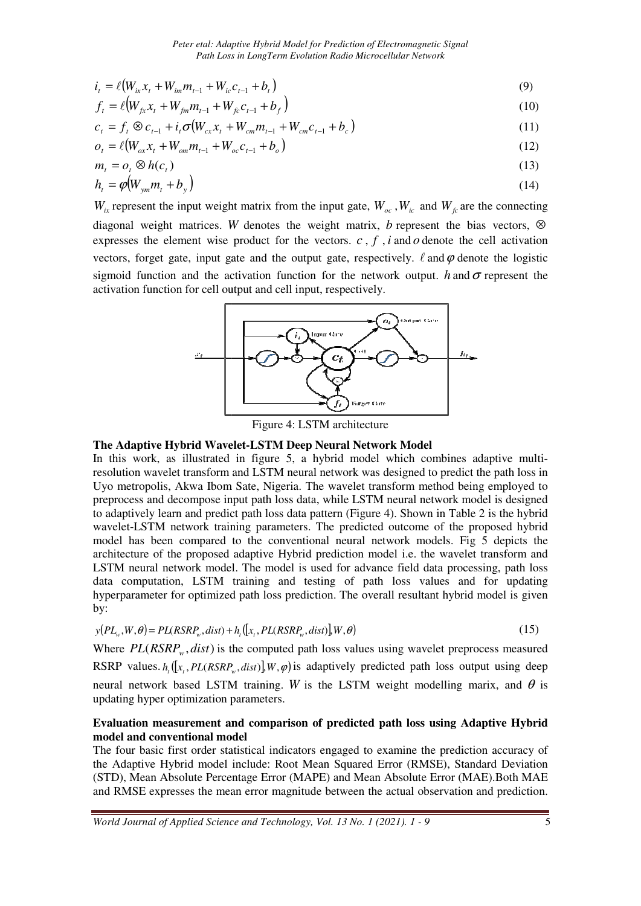$$
i_t = \ell(W_{ix}x_t + W_{im}m_{t-1} + W_{ic}c_{t-1} + b_t)
$$
\n(9)

$$
f_t = \ell \big( W_{fx} x_t + W_{fm} m_{t-1} + W_{fc} c_{t-1} + b_f \big) \tag{10}
$$

$$
c_{t} = f_{t} \otimes c_{t-1} + i_{t} \sigma (W_{cx}x_{t} + W_{cm}m_{t-1} + W_{cm}c_{t-1} + b_{c})
$$
\n(11)

$$
o_t = \ell(W_{ox}x_t + W_{om}m_{t-1} + W_{oc}c_{t-1} + b_o)
$$
\n(12)

$$
m_t = o_t \otimes h(c_t) \tag{13}
$$

$$
h_t = \varphi \big( W_{ym} m_t + b_y \big) \tag{14}
$$

 $W_{ix}$  represent the input weight matrix from the input gate, diagonal weight matrices. W denotes the weight matrix,  $b$  represent the bias vectors,  $\otimes$ expresses the element wise product for the vectors.  $c$ ,  $f$ ,  $i$  and  $o$  denote the cell activation vectors, forget gate, input gate and the output gate, respectively.  $\ell$  and  $\varphi$  denote the logistic sigmoid function and the activation function for the network output.  $h$  and  $\sigma$  represent the activation function for cell output and cell input, respectively.  $W_{oc}$ ,  $W_{ic}$  and  $W_{fc}$  are the connecting



Figure 4: LSTM architecture

#### **The Adaptive Hybrid Wavelet Wavelet-LSTM Deep Neural Network Model**

In this work, as illustrated in figure 5, a hybrid model which combines adaptive multiresolution wavelet transform and LSTM neural network was designed to predict the path loss in Uyo metropolis, Akwa Ibom Sate, Nigeria. The wavelet transform method being employed to preprocess and decompose input path loss data, while LSTM neural network model is designed to adaptively learn and predict path loss data pattern (Figure 4). Shown in Table 2 is the hybrid wavelet-LSTM network training parameters. The predicted outcome of the proposed hybrid model has been compared to the conventional neural network models. Fig 5 depicts the architecture of the proposed adaptive Hybrid prediction model i.e. the wavelet transform and LSTM neural network model. The model is used for advance field data processing, path loss data computation, LSTM training and testing of path loss values and for updating hyperparameter for optimized path loss prediction. The overall resultant hybrid model is given by: form method being employed t<br>eural network model is designe<br>. Shown in Table 2 is the hybri<br>utcome of the proposed hybri<br>ork models. Fig 5 depicts th<br>l i.e. the wavelet transform an<br>field data processing, path los<br>loss val

$$
y(PL_w, W, \theta) = PL(RSRP_w, dist) + h_t([x_t, PL(RSRP_w, dist)], W, \theta)
$$
\n(15)

Where  $PL(RSRP_w, dist)$  is the computed path loss values using wavelet preprocess measured RSRP values.  $h_t([x_t, PL(RSRP_w, dist)]W, \varphi)$  is adaptively predicted path loss output using deep neural network based LSTM training. W is the LSTM weight modelling marix, and  $\theta$  is updating hyper optimization parameters.

## **Evaluation measurement and comparison of predicted path loss using Adaptive Hybrid model and conventional model**

The four basic first order statistical indicators engaged to examine the prediction accuracy of the Adaptive Hybrid model include: Root Mean Squared Error (RMSE), Standard Deviation (STD), Mean Absolute Percentage Error (MAPE) and Mean Absolute Error (MAE).Both MAE and RMSE expresses the mean error magnitude between the actual observation and prediction.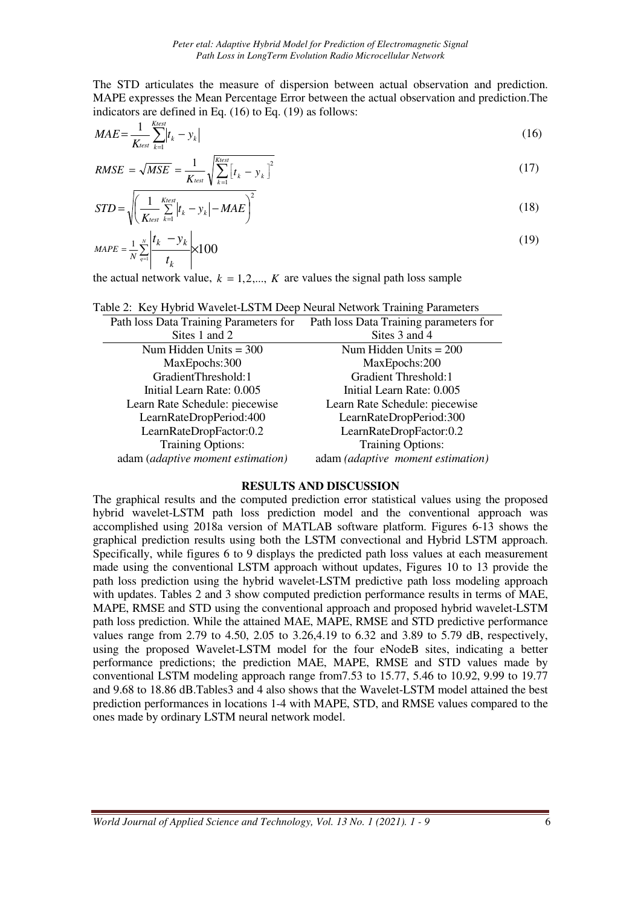The STD articulates the measure of dispersion between actual observation and prediction. MAPE expresses the Mean Percentage Error between the actual observation and prediction.The indicators are defined in Eq. (16) to Eq. (19) as follows:

$$
MAE = \frac{1}{K_{test}} \sum_{k=1}^{Ktest} |t_k - y_k|
$$
\n(16)

$$
RMSE = \sqrt{MSE} = \frac{1}{K_{test}} \sqrt{\sum_{k=1}^{Ktest} \left[t_k - y_k\right]^2}
$$
 (17)

$$
STD = \sqrt{\left(\frac{1}{K_{test}}\sum_{k=1}^{Ktest} |t_k - y_k| - MAE\right)^2}
$$
\n(18)

$$
MAPE = \frac{1}{N} \sum_{q=1}^{N} \left| \frac{t_k - y_k}{t_k} \right| \times 100
$$
 (19)

the actual network value,  $k = 1, 2, ..., K$  are values the signal path loss sample

| able 2. Ney rivorid wavelet-LSTIM Deep Neural Network Training Parameters |                                        |
|---------------------------------------------------------------------------|----------------------------------------|
| Path loss Data Training Parameters for                                    | Path loss Data Training parameters for |
| Sites 1 and 2                                                             | Sites 3 and 4                          |
| Num Hidden Units $=$ 300                                                  | Num Hidden Units $= 200$               |
| MaxEpochs:300                                                             | MaxEpochs:200                          |
| GradientThreshold:1                                                       | <b>Gradient Threshold:1</b>            |
| Initial Learn Rate: 0.005                                                 | Initial Learn Rate: 0.005              |
| Learn Rate Schedule: piecewise                                            | Learn Rate Schedule: piecewise         |
| LearnRateDropPeriod:400                                                   | LearnRateDropPeriod:300                |
| LearnRateDropFactor:0.2                                                   | LearnRateDropFactor:0.2                |
| <b>Training Options:</b>                                                  | <b>Training Options:</b>               |
| adam (adaptive moment estimation)                                         | adam (adaptive moment estimation)      |
|                                                                           |                                        |

# Table 2: Key Hybrid Wavelet-LSTM Deep Neural Network Training Parameters

## **RESULTS AND DISCUSSION**

The graphical results and the computed prediction error statistical values using the proposed hybrid wavelet-LSTM path loss prediction model and the conventional approach was accomplished using 2018a version of MATLAB software platform. Figures 6-13 shows the graphical prediction results using both the LSTM convectional and Hybrid LSTM approach. Specifically, while figures 6 to 9 displays the predicted path loss values at each measurement made using the conventional LSTM approach without updates, Figures 10 to 13 provide the path loss prediction using the hybrid wavelet-LSTM predictive path loss modeling approach with updates. Tables 2 and 3 show computed prediction performance results in terms of MAE, MAPE, RMSE and STD using the conventional approach and proposed hybrid wavelet-LSTM path loss prediction. While the attained MAE, MAPE, RMSE and STD predictive performance values range from 2.79 to 4.50, 2.05 to 3.26,4.19 to 6.32 and 3.89 to 5.79 dB, respectively, using the proposed Wavelet-LSTM model for the four eNodeB sites, indicating a better performance predictions; the prediction MAE, MAPE, RMSE and STD values made by conventional LSTM modeling approach range from7.53 to 15.77, 5.46 to 10.92, 9.99 to 19.77 and 9.68 to 18.86 dB.Tables3 and 4 also shows that the Wavelet-LSTM model attained the best prediction performances in locations 1-4 with MAPE, STD, and RMSE values compared to the ones made by ordinary LSTM neural network model.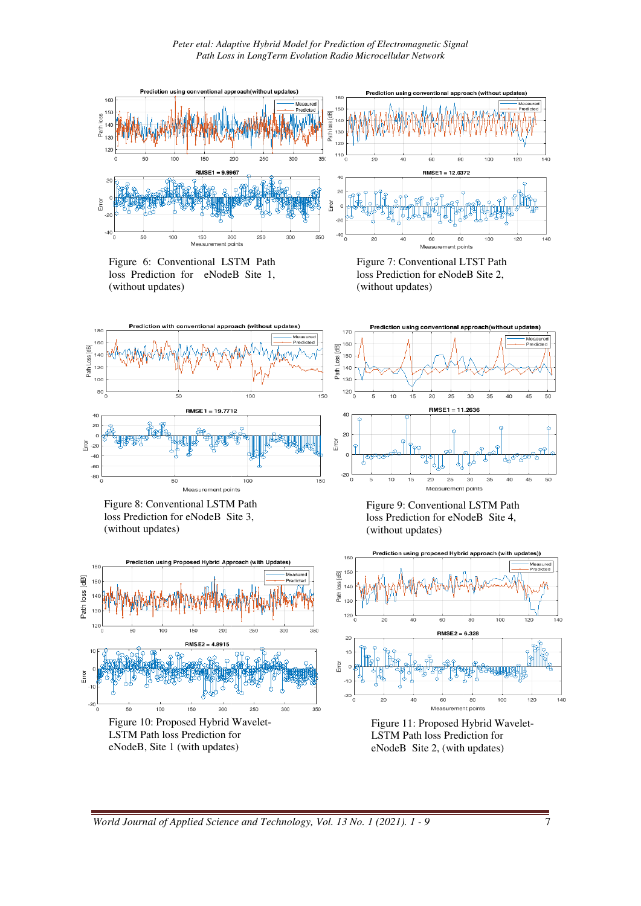

Figure 6: Conventional LSTM Path loss Prediction for eNodeB Site 1, (without updates)

Figure 7: Conventional LTST Path loss Prediction for eNodeB Site 2, (without updates)



Figure 8: Conventional LSTM Path loss Prediction for eNodeB Site 3, (without updates)



eNodeB, Site 1 (with updates)

170 160 ebl 150 Path Loss 140 130  $120$  $\frac{1}{15}$  $\overline{20}$  $10$ 40 RMSE1 = 11.2636  $4<sub>C</sub>$  $20$ Error  $\circ$  $-20$  $\overline{20}$  $\overline{30}$ 50  $10$ 15  $25$ 35 Me

Figure 9: Conventional LSTM Path loss Prediction for eNodeB Site 4, (without updates)



Figure 11: Proposed Hybrid Wavelet-LSTM Path loss Prediction for eNodeB Site 2, (with updates)

*World Journal of Applied Science and Technology, Vol. 1 13 No. 1 (2021). 1 - 9*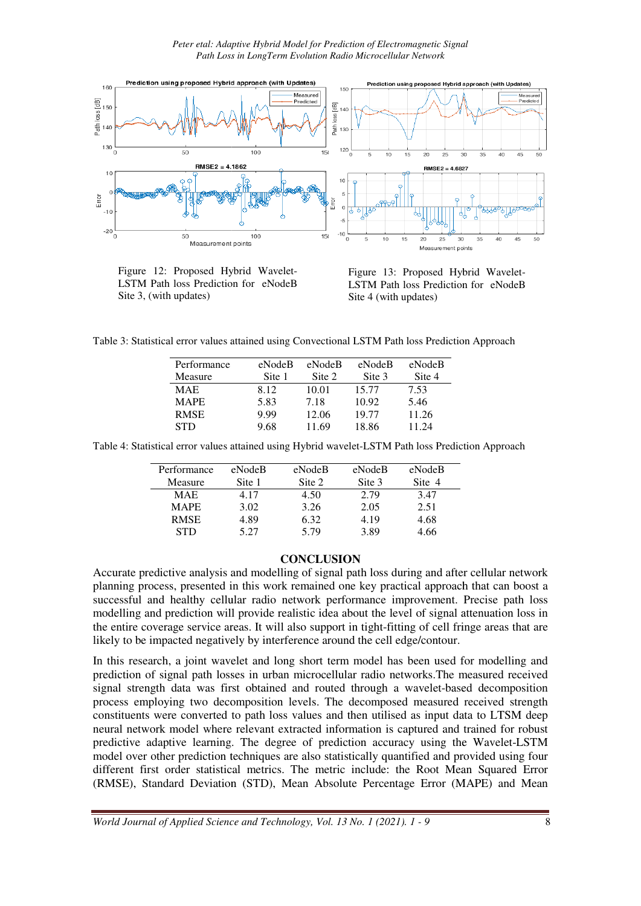

Figure 12: Proposed Hybrid Wavelet Wavelet-LSTM Path loss Prediction for eNodeB Site 3, (with updates)

ed Hybrid Wavelet-<br>
Figure 13: Proposed Hybrid Wavelet-<br>
LSTM Path loss Prediction for eNodeB Site 4 (with updates) Figure 13: Proposed Hybrid Wavelet-

Table 3: Statistical error values attained using Convectional LSTM Path loss Prediction Approach

| Performance | eNodeB | eNodeB | eNodeB | eNodeB |
|-------------|--------|--------|--------|--------|
| Measure     | Site 1 | Site 2 | Site 3 | Site 4 |
| MAE         | 8.12   | 10.01  | 15.77  | 7.53   |
| <b>MAPE</b> | 5.83   | 7.18   | 10.92  | 5.46   |
| <b>RMSE</b> | 9.99   | 12.06  | 19.77  | 11.26  |
| <b>STD</b>  | 9.68   | 11.69  | 18.86  | 11 24  |

Table 4: Statistical error values attained using Hybrid wavelet-LSTM Path loss Prediction Approach

| Performance | eNodeB | eNodeB | eNodeB | eNodeB |  |
|-------------|--------|--------|--------|--------|--|
| Measure     | Site 1 | Site 2 | Site 3 | Site 4 |  |
| <b>MAE</b>  | 4.17   | 4.50   | 2.79   | 3.47   |  |
| <b>MAPE</b> | 3.02   | 3.26   | 2.05   | 2.51   |  |
| <b>RMSE</b> | 4.89   | 6.32   | 4.19   | 4.68   |  |
| <b>STD</b>  | 5.27   | 5.79   | 3.89   | 4.66   |  |

#### **CONCLUSION**

Accurate predictive analysis and modelling of signal path loss during and after cellular network planning process, presented in this work remained one key practical approach that can boost a successful and healthy cellular radio network performance improvement. Precise path loss modelling and prediction will provide realistic idea about the level of signal attenuation loss in modelling and prediction will provide realistic idea about the level of signal attenuation loss in<br>the entire coverage service areas. It will also support in tight-fitting of cell fringe areas that are likely to be impacted negatively by interference around the cell edge/contour.

In this research, a joint wavelet and long short term model has been used for modelling and prediction of signal path losses in urban microcellular radio networks. The measured received signal strength data was first obtained and routed through a wa wavelet-based decomposition process employing two decomposition levels. The decomposed measured received strength constituents were converted to path loss values and then utilised as input data to LTSM deep neural network model where relevant extracted information is captured and trained for robust predictive adaptive learning. The degree of prediction accuracy using the Wavelet model over other prediction techniques are also statistically quantified and provided using four different first order statistical metrics. The metric include: the Root Mean Squared Error (RMSE), Standard Deviation (STD), Mean Absolute Percentage Error (MAPE) and Mean in tight-fitting of cell fringe areas that are<br>d the cell edge/contour.<br>model has been used for modelling and<br>ar radio networks.The measured received<br>through a wavelet-based decomposition<br>decomposed measured received stren